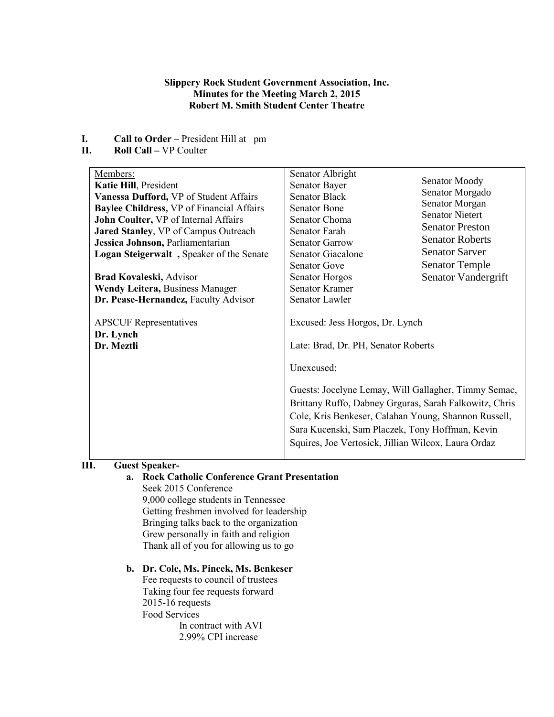## **Slippery Rock Student Government Association, Inc. Minutes for the Meeting March 2, 2015 Robert M. Smith Student Center Theatre**

- **I. Call to Order** President Hill at pm<br>**II. Roll Call** VP Coulter
- **II. Roll Call –** VP Coulter

| Members:<br>Katie Hill, President<br>Vanessa Dufford, VP of Student Affairs<br><b>Baylee Childress, VP of Financial Affairs</b><br>John Coulter, VP of Internal Affairs<br><b>Jared Stanley, VP of Campus Outreach</b><br>Jessica Johnson, Parliamentarian | Senator Albright<br>Senator Bayer<br><b>Senator Black</b><br><b>Senator Bone</b><br>Senator Choma<br>Senator Farah<br><b>Senator Garrow</b>                                                            | Senator Moody<br>Senator Morgado<br>Senator Morgan<br><b>Senator Nietert</b><br><b>Senator Preston</b><br><b>Senator Roberts</b>                               |  |
|------------------------------------------------------------------------------------------------------------------------------------------------------------------------------------------------------------------------------------------------------------|--------------------------------------------------------------------------------------------------------------------------------------------------------------------------------------------------------|----------------------------------------------------------------------------------------------------------------------------------------------------------------|--|
| Logan Steigerwalt, Speaker of the Senate<br><b>Brad Kovaleski, Advisor</b><br><b>Wendy Leitera, Business Manager</b><br>Dr. Pease-Hernandez, Faculty Advisor                                                                                               | <b>Senator Giacalone</b><br><b>Senator Gove</b><br><b>Senator Horgos</b><br><b>Senator Kramer</b><br>Senator Lawler                                                                                    | <b>Senator Sarver</b><br><b>Senator Temple</b><br>Senator Vandergrift                                                                                          |  |
| <b>APSCUF</b> Representatives<br>Dr. Lynch<br>Dr. Meztli                                                                                                                                                                                                   | Excused: Jess Horgos, Dr. Lynch<br>Late: Brad, Dr. PH, Senator Roberts<br>Unexcused:<br>Guests: Jocelyne Lemay, Will Gallagher, Timmy Semac,<br>Brittany Ruffo, Dabney Grguras, Sarah Falkowitz, Chris |                                                                                                                                                                |  |
|                                                                                                                                                                                                                                                            |                                                                                                                                                                                                        | Cole, Kris Benkeser, Calahan Young, Shannon Russell,<br>Sara Kucenski, Sam Placzek, Tony Hoffman, Kevin<br>Squires, Joe Vertosick, Jillian Wilcox, Laura Ordaz |  |

# **III. Guest Speaker-**

# **a. Rock Catholic Conference Grant Presentation**

Seek 2015 Conference 9,000 college students in Tennessee Getting freshmen involved for leadership Bringing talks back to the organization Grew personally in faith and religion Thank all of you for allowing us to go

# **b. Dr. Cole, Ms. Pincek, Ms. Benkeser**

Fee requests to council of trustees Taking four fee requests forward 2015-16 requests Food Services In contract with AVI 2.99% CPI increase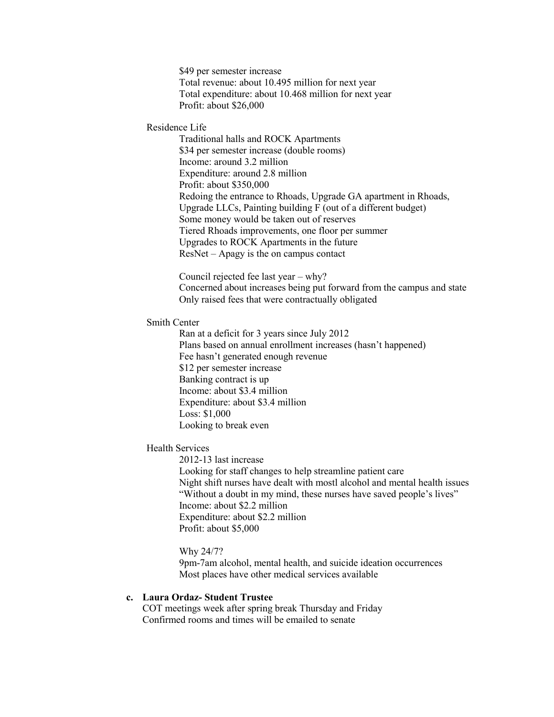\$49 per semester increase Total revenue: about 10.495 million for next year Total expenditure: about 10.468 million for next year Profit: about \$26,000

#### Residence Life

Traditional halls and ROCK Apartments \$34 per semester increase (double rooms) Income: around 3.2 million Expenditure: around 2.8 million Profit: about \$350,000 Redoing the entrance to Rhoads, Upgrade GA apartment in Rhoads, Upgrade LLCs, Painting building F (out of a different budget) Some money would be taken out of reserves Tiered Rhoads improvements, one floor per summer Upgrades to ROCK Apartments in the future ResNet – Apagy is the on campus contact

Council rejected fee last year – why? Concerned about increases being put forward from the campus and state Only raised fees that were contractually obligated

#### Smith Center

Ran at a deficit for 3 years since July 2012 Plans based on annual enrollment increases (hasn't happened) Fee hasn't generated enough revenue \$12 per semester increase Banking contract is up Income: about \$3.4 million Expenditure: about \$3.4 million Loss: \$1,000 Looking to break even

#### Health Services

2012-13 last increase Looking for staff changes to help streamline patient care Night shift nurses have dealt with mostl alcohol and mental health issues "Without a doubt in my mind, these nurses have saved people's lives" Income: about \$2.2 million Expenditure: about \$2.2 million Profit: about \$5,000

#### Why 24/7?

9pm-7am alcohol, mental health, and suicide ideation occurrences Most places have other medical services available

## **c. Laura Ordaz- Student Trustee**

COT meetings week after spring break Thursday and Friday Confirmed rooms and times will be emailed to senate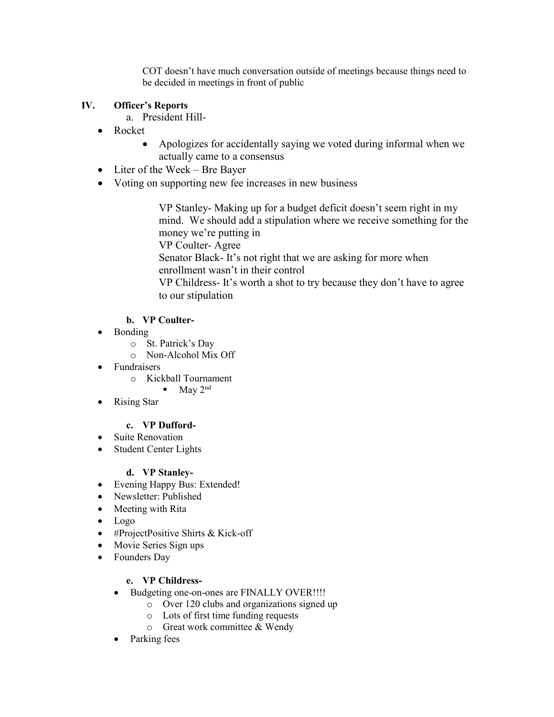COT doesn't have much conversation outside of meetings because things need to be decided in meetings in front of public

# **IV. Officer's Reports**

- a. President Hill-
- Rocket
	- Apologizes for accidentally saying we voted during informal when we actually came to a consensus
- Liter of the Week Bre Bayer
- Voting on supporting new fee increases in new business

VP Stanley- Making up for a budget deficit doesn't seem right in my mind. We should add a stipulation where we receive something for the money we're putting in

VP Coulter- Agree

Senator Black- It's not right that we are asking for more when enrollment wasn't in their control

VP Childress- It's worth a shot to try because they don't have to agree to our stipulation

# **b. VP Coulter-**

- Bonding
	- o St. Patrick's Day
	- o Non-Alcohol Mix Off
- Fundraisers
	- o Kickball Tournament
		- $\blacksquare$  May 2<sup>nd</sup>
- Rising Star

# **c. VP Dufford-**

- Suite Renovation
- Student Center Lights

# **d. VP Stanley-**

- Evening Happy Bus: Extended!
- Newsletter: Published
- Meeting with Rita
- Logo
- #ProjectPositive Shirts & Kick-off
- Movie Series Sign ups
- Founders Day

# **e. VP Childress-**

- Budgeting one-on-ones are FINALLY OVER!!!!
	- o Over 120 clubs and organizations signed up
	- o Lots of first time funding requests
	- o Great work committee & Wendy
- Parking fees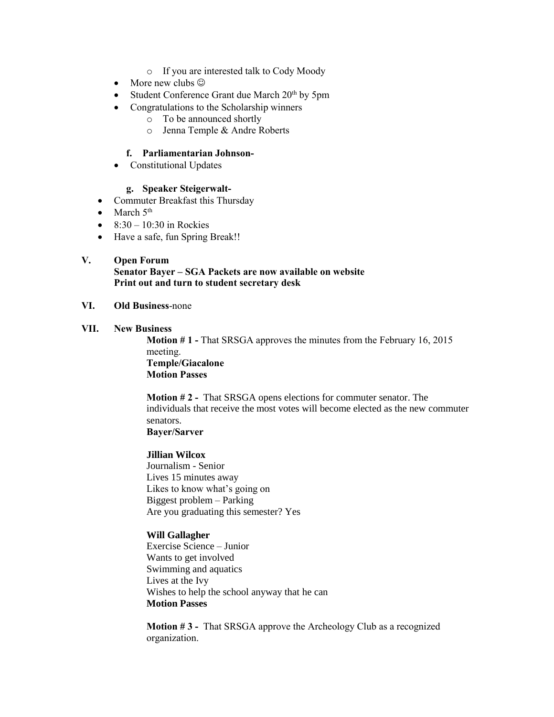- o If you are interested talk to Cody Moody
- More new clubs  $\odot$
- Student Conference Grant due March  $20<sup>th</sup>$  by 5pm
- Congratulations to the Scholarship winners
	- o To be announced shortly
	- o Jenna Temple & Andre Roberts

## **f. Parliamentarian Johnson-**

• Constitutional Updates

## **g. Speaker Steigerwalt-**

- Commuter Breakfast this Thursday
- March  $5<sup>th</sup>$
- $\bullet$  8:30 10:30 in Rockies
- Have a safe, fun Spring Break!!

## **V. Open Forum**

**Senator Bayer – SGA Packets are now available on website Print out and turn to student secretary desk**

## **VI. Old Business**-none

#### **VII. New Business**

**Motion # 1 -** That SRSGA approves the minutes from the February 16, 2015 meeting. **Temple/Giacalone**

**Motion Passes**

**Motion # 2 -** That SRSGA opens elections for commuter senator. The individuals that receive the most votes will become elected as the new commuter senators.

## **Bayer/Sarver**

## **Jillian Wilcox**

Journalism - Senior Lives 15 minutes away Likes to know what's going on Biggest problem – Parking Are you graduating this semester? Yes

## **Will Gallagher**

Exercise Science – Junior Wants to get involved Swimming and aquatics Lives at the Ivy Wishes to help the school anyway that he can **Motion Passes**

**Motion # 3 -** That SRSGA approve the Archeology Club as a recognized organization.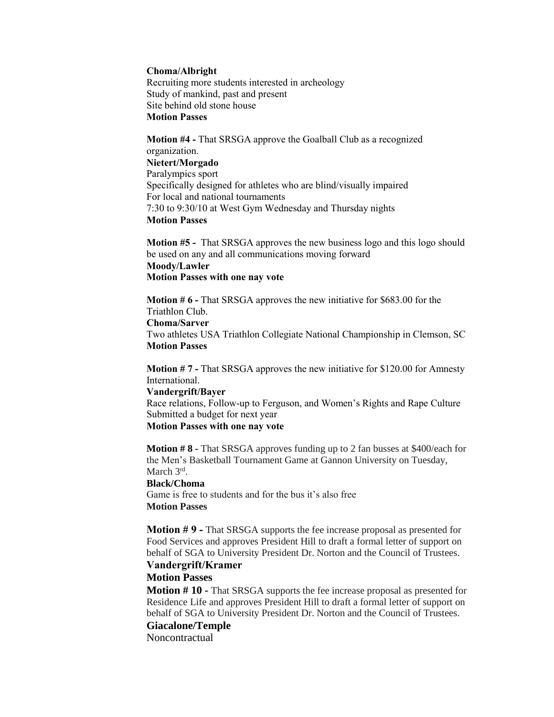#### **Choma/Albright**

Recruiting more students interested in archeology Study of mankind, past and present Site behind old stone house **Motion Passes**

**Motion #4 -** That SRSGA approve the Goalball Club as a recognized organization. **Nietert/Morgado** Paralympics sport Specifically designed for athletes who are blind/visually impaired For local and national tournaments 7:30 to 9:30/10 at West Gym Wednesday and Thursday nights **Motion Passes**

**Motion #5 -** That SRSGA approves the new business logo and this logo should be used on any and all communications moving forward **Moody/Lawler Motion Passes with one nay vote**

**Motion # 6 -** That SRSGA approves the new initiative for \$683.00 for the Triathlon Club. **Choma/Sarver**

Two athletes USA Triathlon Collegiate National Championship in Clemson, SC **Motion Passes**

**Motion # 7 -** That SRSGA approves the new initiative for \$120.00 for Amnesty International.

#### **Vandergrift/Bayer**

Race relations, Follow-up to Ferguson, and Women's Rights and Rape Culture Submitted a budget for next year

#### **Motion Passes with one nay vote**

**Motion # 8 -** That SRSGA approves funding up to 2 fan busses at \$400/each for the Men's Basketball Tournament Game at Gannon University on Tuesday, March 3<sup>rd</sup>.

#### **Black/Choma**

Game is free to students and for the bus it's also free **Motion Passes** 

**Motion # 9 -** That SRSGA supports the fee increase proposal as presented for Food Services and approves President Hill to draft a formal letter of support on behalf of SGA to University President Dr. Norton and the Council of Trustees.

# **Vandergrift/Kramer**

# **Motion Passes**

**Motion # 10 -** That SRSGA supports the fee increase proposal as presented for Residence Life and approves President Hill to draft a formal letter of support on behalf of SGA to University President Dr. Norton and the Council of Trustees.

## **Giacalone/Temple**

Noncontractual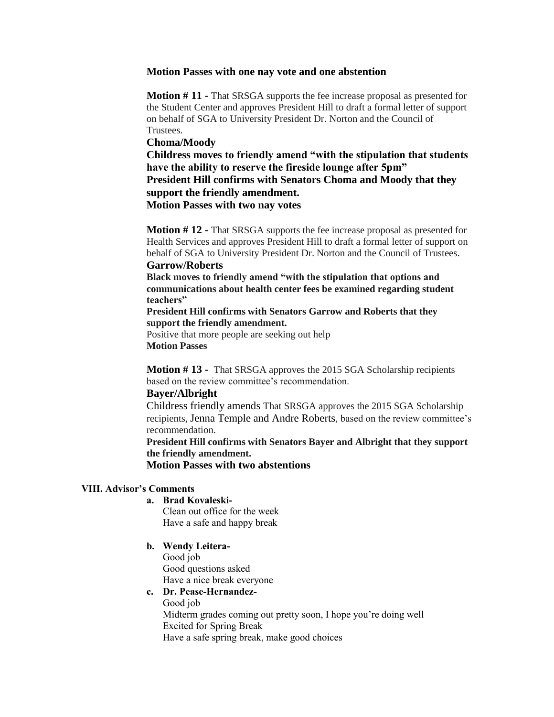#### **Motion Passes with one nay vote and one abstention**

**Motion # 11 -** That SRSGA supports the fee increase proposal as presented for the Student Center and approves President Hill to draft a formal letter of support on behalf of SGA to University President Dr. Norton and the Council of Trustees.

#### **Choma/Moody**

**Childress moves to friendly amend "with the stipulation that students have the ability to reserve the fireside lounge after 5pm" President Hill confirms with Senators Choma and Moody that they support the friendly amendment. Motion Passes with two nay votes**

**Motion # 12 -** That SRSGA supports the fee increase proposal as presented for Health Services and approves President Hill to draft a formal letter of support on behalf of SGA to University President Dr. Norton and the Council of Trustees.

#### **Garrow/Roberts**

**Black moves to friendly amend "with the stipulation that options and communications about health center fees be examined regarding student teachers"**

**President Hill confirms with Senators Garrow and Roberts that they support the friendly amendment.**

Positive that more people are seeking out help **Motion Passes**

**Motion # 13 -** That SRSGA approves the 2015 SGA Scholarship recipients based on the review committee's recommendation.

#### **Bayer/Albright**

Childress friendly amends That SRSGA approves the 2015 SGA Scholarship recipients, Jenna Temple and Andre Roberts, based on the review committee's recommendation.

**President Hill confirms with Senators Bayer and Albright that they support the friendly amendment.**

**Motion Passes with two abstentions**

## **VIII. Advisor's Comments**

**a. Brad Kovaleski-**

Clean out office for the week Have a safe and happy break

**b. Wendy Leitera-**Good job

Good questions asked Have a nice break everyone

#### **c. Dr. Pease-Hernandez-**

Good job

Midterm grades coming out pretty soon, I hope you're doing well Excited for Spring Break Have a safe spring break, make good choices